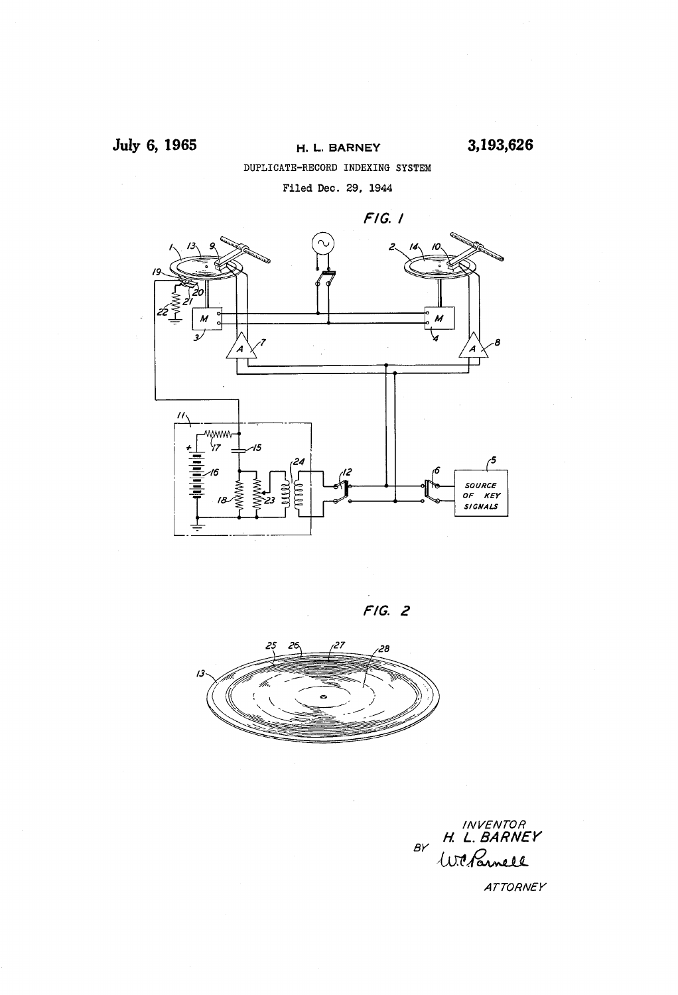### July 6, 1965

#### H. L. BARNEY DUPLICATE-RECORD INDEXING SYSTEM Filed Dec. 29, 1944

 $F/G.$  /  $\prime$ wwww ۰, IS.  $\sqrt{5}$ 24 SOURCE OF KEY<br>SIGNALS





INVENTOR<br>H. L. BARNEY<br>Willamell  $BY$ 

ATTORNEY

3,193,626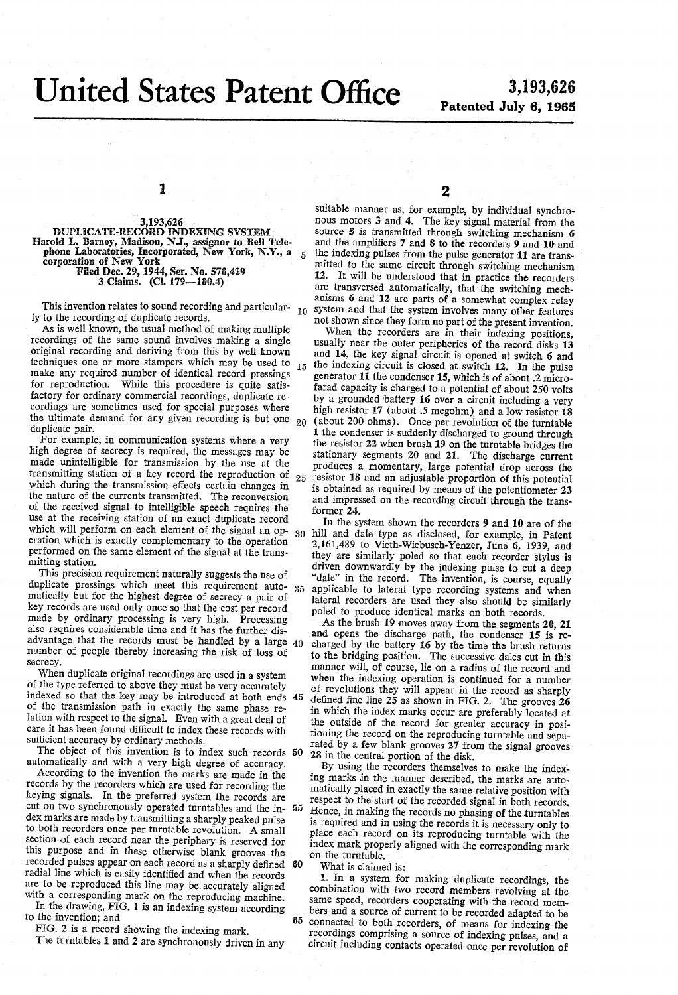## United States Patent 0

**5** 

# 3,193,626<br>Patented July 6, 1965

1

5,193,626<br>Harold L. Barney, Madison, N.J., assignor to Bell Tele-<br>phone Laboratories, Incorporated, New York, N.Y., a corporation of New York Filed Dec. 29, 1944, Ser. No. 570,429 3 Claims. (Cl. 179--100.4)

This invention relates to sound recording and particular-<br>to the recording of duriligate records ly to the recording of duplicate records.

As is well known, the usual method of making multiple recordings of the same sound involves making a single original recording and deriving from this by well known techniques one or more stampers which may be used to make any required number of identical record pressings for reproduction. While this procedure is quite satis factory for ordinary commercial recordings, duplicate re cordings are sometimes used for special purposes where the ultimate demand for any given recording is but one  $_{20}$  duplicate pair. 15

For example, in communication systems where a very high degree of secrecy is required, the messages may be made unintelligible for transmission by the use at the transmitting station of a key record the reproduction of 25 which during the transmission effects certain changes in the nature of the currents transmitted. The reconversion<br>of the received signal to intelligible speech requires the use at the receiving station of an exact duplicate record which will perform on each element of the signal an op 30 eration which is exactly complementary to the operation performed on the same element of the signal at the trans mitting station.

This precision requirement naturally suggests the use of duplicate pressings which meet this requirement auto  $35$ matically but for the highest degree of secrecy a pair of key records are used only once so that the cost per record made by ordinary processing is very high. Processing also requires considerable time and it has the further disadvantage that the records must be handled by a large 40 number of people thereby increasing the risk of loss of secrecy.

When duplicate original recordings are used in a system of the type referred to above they must be very accurately indexed so that the key may be introduced at both ends 45 of the transmission path in exactly the same phase relation with respect to the signal. Even with a great deal of care it has been found difficult to index these records with sufficient accuracy by ordinary methods.

The object of this invention is to index such records 50 automatically and with a very high degree of accuracy.

According to the invention the marks are made in the records by the recorders which are used for recording the keying signals. In the preferred system the records are keying signals. In the preferred system the records are cut on two synchronously operated turntables and the in 55 dex marks are made by transmitting a sharply peaked pulse to both recorders once per turntable revolution. A small section of each record near the periphery is reserved for this purpose and in these otherwise blank grooves the recorded pulses appear on each record as a sharply defined 60 radial line which is easily identified and when the records are to be reproduced this line may be accurately aligned with a corresponding mark on the reproducing machine.

In the drawing, FIG. 1 is an indexing system according to the invention; and

FIG. 2 is a record showing the indexing mark.

The turntables 1 and 2 are synchronously driven in any

2

suitable manner as, for example, by individual synchronous motors  $3$  and  $4$ . The key signal material from the source  $5$  is transmitted through switching mechanism  $6$ and the amplifiers 7 and 8 to the recorders 9 and 10 and the indexing pulses from the pulse generator 11 are trans mitted to the same circuit through switching mechanism<br>12. It will be understood that in practice the recorders are transversed automatically, that the switching mechanisms 6 and 12 are parts of a somewhat complex relay system and that the system involves many other features not shown since they form no part of the present invention.

When the recorders are in their indexing positions, usually near the outer peripheries of the record disks 13 and 14, the key signal circuit is opened at switch 6 and the indexing circuit is closed at switch 12. In the pulse generator  $11$  the condenser 15, which is of about .2 microfarad capacity is charged to a potential of about 250 volts by a grounded battery 16 over a circuit including a very high resistor 17 (about .5 megohm) and a low resistor 18 (about 200 ohms). Once per revolution of the turntable 1 the condenser is suddenly discharged to ground through the resistor 22 when brush 19 on the turntable bridges the stationary segments 20 and 21. The discharge current produces a momentary, large potential drop across the resistor 18 and an adjustable proportion of this potential is obtained as required by means of the potentiometer 23 and impressed on the recording circuit through the transformer 24.

In the system shown the recorders 9 and 10 are of the hill and dale type as disclosed, for example, in Patent 2,161,489 to Vieth-Wiebusch-Yenzer, June 6, 1939, and they are similarly poled so that each recorder stylus is driven downwardly by the indexing pulse to cut a deep "dale" in the record. The invention, is course, equally applicable to lateral type recording systems and when lateral recorders are used they also should be similarly poled to produce identical marks on both records.

As the brush 19 moves away from the segments 20, 21 and opens the discharge path, the condenser 15 is recharged by the battery  $16$  by the time the brush returns to the bridging position. The successive dales cut in this manner will, of course, lie on a radius of the record and when the indexing operation is continued for a number of revolutions they will appear in the record as sharply defined fine line  $25$  as shown in FIG. 2. The grooves  $26$ in which the index marks occur are preferably located at the outside of the record for greater accuracy in posi tioning the record on the reproducing turntable and sepa rated by a few blank grooves 27 from the signal grooves 28 in the central portion of the disk.

By using the recorders themselves to make the index ing marks in the manner described, the marks are auto matically placed in exactly the same relative position with respect to the start of the recorded signal in both records. Hence, in making the records no phasing of the turntables is required and in using the records it is necessary only to place each record on its reproducing turntable with the index mark properly aligned with the corresponding mark on the turntable.

What is claimed is:

**65** 

1. In a system for making duplicate recordings, the combination with two record members revolving at the same speed, recorders cooperating with the record members and a source of current to be recorded adapted to be connected to both recorders, of means for indexing the recordings comprising a source of indexing pulses, and a circuit including contacts operated once per revolution of